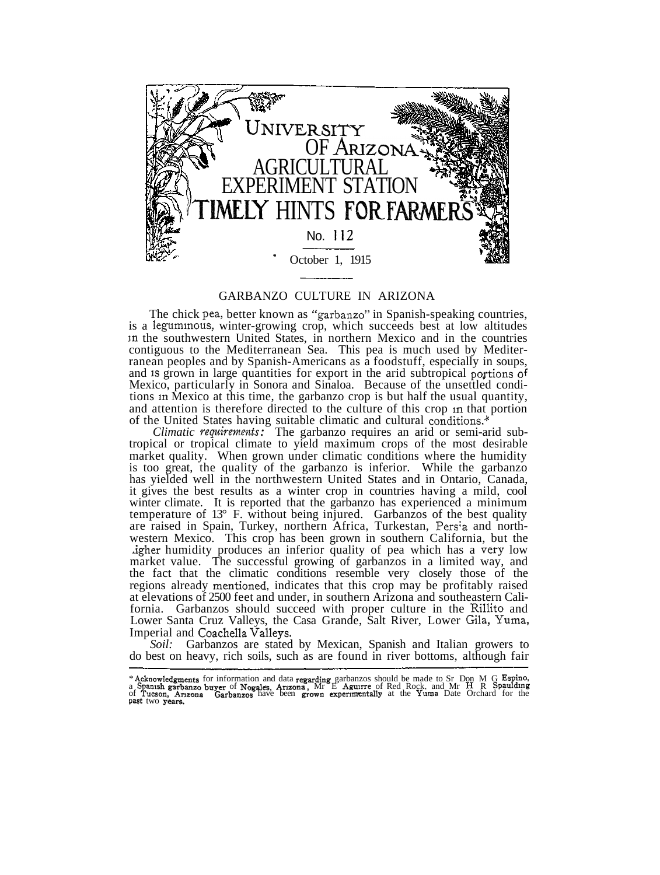

## GARBANZO CULTURE IN ARIZONA

The chick pea, better known as "garbanzo" in Spanish-speaking countries, is a leguminous, winter-growing crop, which succeeds best at low altitudes m the southwestern United States, in northern Mexico and in the countries contiguous to the Mediterranean Sea. This pea is much used by Mediterranean peoples and by Spanish-Americans as a foodstuff, especially in soups, and is grown in large quantities for export in the arid subtropical portions of Mexico, particularly in Sonora and Sinaloa. Because of the unsettled conditions in Mexico at this time, the garbanzo crop is but half the usual quantity, and attention is therefore directed to the culture of this crop in that portion of the United States having suitable climatic and cultural conditions.\*

*Climatic requirements:* The garbanzo requires an arid or semi-arid subtropical or tropical climate to yield maximum crops of the most desirable market quality. When grown under climatic conditions where the humidity is too great, the quality of the garbanzo is inferior. While the garbanzo has yielded well in the northwestern United States and in Ontario, Canada, it gives the best results as a winter crop in countries having a mild, cool winter climate. It is reported that the garbanzo has experienced a minimum temperature of  $13^{\circ}$  F. without being injured. Garbanzos of the best quality are raised in Spain, Turkey, northern Africa, Turkestan, Pers; a and northwestern Mexico. This crop has been grown in southern California, but the digher humidity produces an inferior quality of pea which has a very low market value. The successful growing of garbanzos in a limited way, and the fact that the climatic conditions resemble very closely those of the regions already mentioned, indicates that this crop may be profitably raised at elevations of 2500 feet and under, in southern Arizona and southeastern California. Garbanzos should succeed with proper culture in the Rillito and Lower Santa Cruz Valleys, the Casa Grande, Salt River, Lower Gila, Yuma, Imperial and Coachella Valleys.

*Soil:* Garbanzos are stated by Mexican, Spanish and Italian growers to do best on heavy, rich soils, such as are found in river bottoms, although fair

<sup>\*</sup> Acknowledgments for information and data regarding garbanzos should be made to Sr Don M G Espino,<br>a Spanish garbanzo buyer of Nogales, Arizona, Mr E Aguirre of Red Rock, and Mr H R Spaulding<br>of Tucson, Arizona Garbanzos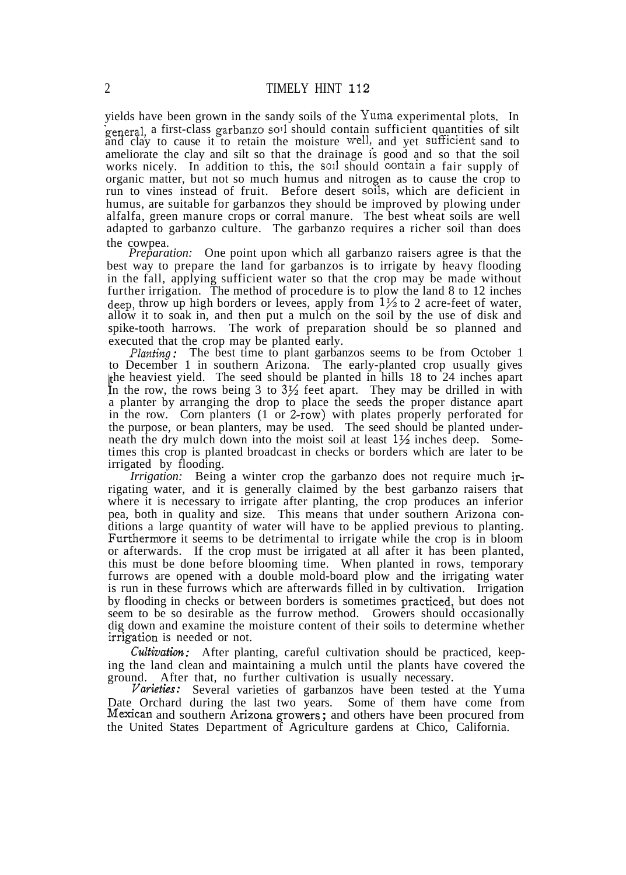yields have been grown in the sandy soils of the Yuma experimental plots. In general, a first-class garbanzo soil should contain sufficient quantities of silt and clay to cause it to retain the moisture well, and yet sufficient sand to ameliorate the clay and silt so that the drainage is good and so that the soil works nicely. In addition to this, the soil should contain a fair supply of organic matter, but not so much humus and nitrogen as to cause the crop to run to vines instead of fruit. Before desert soils, which are deficient in humus, are suitable for garbanzos they should be improved by plowing under alfalfa, green manure crops or corral manure. The best wheat soils are well adapted to garbanzo culture. The garbanzo requires a richer soil than does the cowpea.

*Preparation:* One point upon which all garbanzo raisers agree is that the best way to prepare the land for garbanzos is to irrigate by heavy flooding in the fall, applying sufficient water so that the crop may be made without further irrigation. The method of procedure is to plow the land 8 to 12 inches deep, throw up high borders or levees, apply from *\%* to 2 acre-feet of water, allow it to soak in, and then put a mulch on the soil by the use of disk and spike-tooth harrows. The work of preparation should be so planned and executed that the crop may be planted early.

the heaviest yield. The seed should be planted in hills 18 to 24 inches apart In the row, the rows being 3 to  $3\frac{1}{2}$  feet apart. They may be drilled in with *Planting:* The best time to plant garbanzos seems to be from October 1 to December 1 in southern Arizona. The early-planted crop usually gives a planter by arranging the drop to place the seeds the proper distance apart in the row. Corn planters (1 or 2~row) with plates properly perforated for the purpose, or bean planters, may be used. The seed should be planted underneath the dry mulch down into the moist soil at least  $1\frac{1}{2}$  inches deep. Sometimes this crop is planted broadcast in checks or borders which are later to be irrigated by flooding.

*Irrigation:* Being a winter crop the garbanzo does not require much irrigating water, and it is generally claimed by the best garbanzo raisers that where it is necessary to irrigate after planting, the crop produces an inferior pea, both in quality and size. This means that under southern Arizona conditions a large quantity of water will have to be applied previous to planting. Furthermore it seems to be detrimental to irrigate while the crop is in bloom or afterwards. If the crop must be irrigated at all after it has been planted, this must be done before blooming time. When planted in rows, temporary furrows are opened with a double mold-board plow and the irrigating water is run in these furrows which are afterwards filled in by cultivation. Irrigation by flooding in checks or between borders is sometimes practiced, but does not seem to be so desirable as the furrow method. Growers should occasionally dig down and examine the moisture content of their soils to determine whether irrigation is needed or not.

*Cultivation:* After planting, careful cultivation should be practiced, keeping the land clean and maintaining a mulch until the plants have covered the ground. After that, no further cultivation is usually necessary.

*Varieties:* Several varieties of garbanzos have been tested at the Yuma Date Orchard during the last two years. Some of them have come from Mexican and southern Arizona growers ; and others have been procured from the United States Department of Agriculture gardens at Chico, California.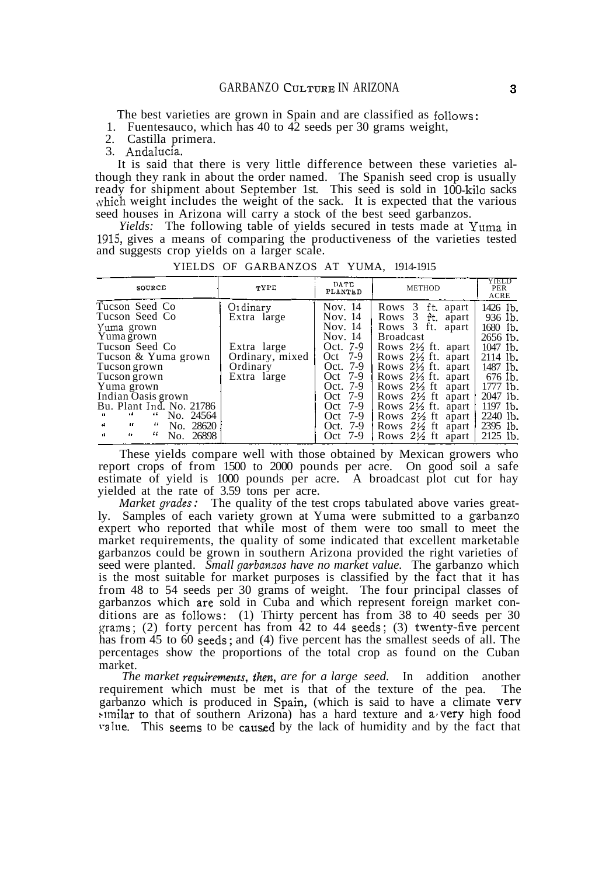The best varieties are grown in Spain and are classified as follows:

1. Fuentesauco, which has 40 to 42 seeds per 30 grams weight,

2. Castilla primera.

3. Andalucia.

It is said that there is very little difference between these varieties although they rank in about the order named. The Spanish seed crop is usually ready for shipment about September 1st. This seed is sold in 100-kilo sacks which weight includes the weight of the sack. It is expected that the various seed houses in Arizona will carry a stock of the best seed garbanzos.

*Yields:* The following table of yields secured in tests made at Yuma in 1915, gives a means of comparing the productiveness of the varieties tested and suggests crop yields on a larger scale.

| SOURCE                                                                                                                                                                                                                                                                                                                 | TYPE                                                                                 | DATE<br>PLANTED                                                                                                                                            | <b>METHOD</b>                                                                                                                                                                                                                                                                                                                                                                                         | YIELD<br>PER<br>ACRE                                                                                                                                               |
|------------------------------------------------------------------------------------------------------------------------------------------------------------------------------------------------------------------------------------------------------------------------------------------------------------------------|--------------------------------------------------------------------------------------|------------------------------------------------------------------------------------------------------------------------------------------------------------|-------------------------------------------------------------------------------------------------------------------------------------------------------------------------------------------------------------------------------------------------------------------------------------------------------------------------------------------------------------------------------------------------------|--------------------------------------------------------------------------------------------------------------------------------------------------------------------|
| Tucson Seed Co<br>Tucson Seed Co<br>Yuma grown<br>Yuma grown<br>Tucson Seed Co<br>Tucson & Yuma grown<br>Tucson grown<br>Tucson grown<br>Yuma grown<br>Indian Oasis grown<br>Bu. Plant Ind. No. 21786<br>No. 24564<br>66.<br>46<br>66<br>44<br>10<br>No. 28620<br>-66<br>łк.<br>$\mathcal{U}$<br>No. 26898<br>$\alpha$ | Ordinary<br>Extra large<br>Extra large<br>Ordinary, mixed<br>Ordinary<br>Extra large | Nov. 14<br>Nov. 14<br>Nov. 14<br>Nov. 14<br>Oct. 7-9<br>Oct 7-9<br>Oct. 7-9<br>Oct 7-9<br>Oct. 7-9<br>Oct 7-9<br>Oct 7-9<br>Oct 7-9<br>Oct. 7-9<br>Oct 7-9 | Rows 3<br>ft. apart<br>Rows 3 ft. apart<br>Rows 3 ft. apart<br>Broadcast<br>Rows $2\frac{1}{2}$ ft. apart<br>Rows $2\frac{1}{2}$ ft. apart<br>Rows $2\frac{1}{2}$ ft. apart<br>Rows $2\frac{1}{2}$ ft. apart  <br>Rows $2\frac{1}{2}$ ft apart<br>Rows $2\frac{1}{2}$ ft apart<br>Rows 21/2 ft. apart<br>Rows $2\frac{1}{2}$ ft apart<br>Rows $2\frac{1}{2}$ ft apart<br>Rows $2\frac{1}{2}$ ft apart | 1426 lb.<br>936 lb.<br>1680 lb.<br>2656 lb.<br>1047 lb.<br>2114 lb.<br>1487 lb.<br>676 lb.<br>1777 lb.<br>2047 lb.<br>1197 lb.<br>2240 lb.<br>2395 lb.<br>2125 lb. |

YIELDS OF GARBANZOS AT YUMA, 1914-1915

These yields compare well with those obtained by Mexican growers who report crops of from 1500 to 2000 pounds per acre. On good soil a safe estimate of yield is 1000 pounds per acre. A broadcast plot cut for hay yielded at the rate of 3.59 tons per acre.

*Market grades:* The quality of the test crops tabulated above varies greatly. Samples of each variety grown at Yuma were submitted to a garbanzo expert who reported that while most of them were too small to meet the market requirements, the quality of some indicated that excellent marketable garbanzos could be grown in southern Arizona provided the right varieties of seed were planted. *Small garbanzos have no market value.* The garbanzo which is the most suitable for market purposes is classified by the fact that it has from 48 to 54 seeds per 30 grams of weight. The four principal classes of garbanzos which are sold in Cuba and which represent foreign market conditions are as follows: (1) Thirty percent has from 38 to 40 seeds per 30 grams; (2) forty percent has from  $\overline{42}$  to  $\overline{44}$  seeds; (3) twenty-five percent has from 45 to 60 seeds; and (4) five percent has the smallest seeds of all. The percentages show the proportions of the total crop as found on the Cuban market.

*The market requirements, then, are for a large seed.* In addition another requirement which must be met is that of the texture of the pea. The garbanzo which is produced in Spain, (which is said to have a climate very  $\frac{1}{2}$  milar to that of southern Arizona) has a hard texture and a very high food value. This seems to be caused by the lack of humidity and by the fact that